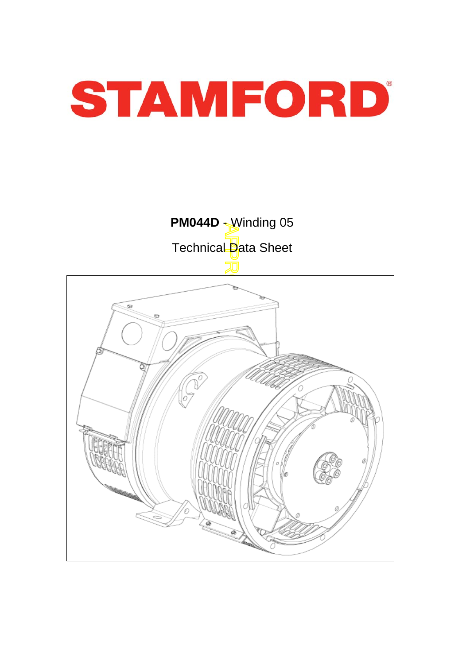

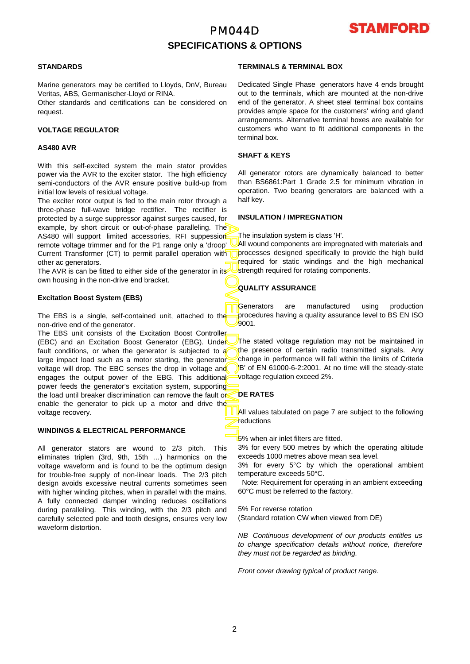## PM044D **SPECIFICATIONS & OPTIONS**



#### **STANDARDS**

Marine generators may be certified to Lloyds, DnV, Bureau Veritas, ABS, Germanischer-Lloyd or RINA.

Other standards and certifications can be considered on request.

#### **VOLTAGE REGULATOR**

#### **AS480 AVR**

With this self-excited system the main stator provides power via the AVR to the exciter stator. The high efficiency semi-conductors of the AVR ensure positive build-up from initial low levels of residual voltage.

The exciter rotor output is fed to the main rotor through a three-phase full-wave bridge rectifier. The rectifier is protected by a surge suppressor against surges caused, fo r example, by short circuit or out-of-phase paralleling. The AS480 will support limited accessories, RFI suppession remote voltage trimmer and for the P1 range only a 'droop' Current Transformer (CT) to permit parallel operation with other ac generators.

The AVR is can be fitted to either side of the generator in its own housing in the non-drive end bracket.

#### **Excitation Boost System (EBS)**

The EBS is a single, self-contained unit, attached to the non-drive end of the generator.

APPROVED DOCUMENT The EBS unit consists of the Excitation Boost Controller (EBC) and an Excitation Boost Generator (EBG). Under fault conditions, or when the generator is subjected to a large impact load such as a motor starting, the generator voltage will drop. The EBC senses the drop in voltage and engages the output power of the EBG. This additional power feeds the generator's excitation system, supporting the load until breaker discrimination can remove the fault or enable the generator to pick up a motor and drive the voltage recovery.

### **WINDINGS & ELECTRICAL PERFORMANCE**

All generator stators are wound to 2/3 pitch. This eliminates triplen (3rd, 9th, 15th …) harmonics on the voltage waveform and is found to be the optimum design for trouble-free supply of non-linear loads. The 2/3 pitch design avoids excessive neutral currents sometimes seen with higher winding pitches, when in parallel with the mains. A fully connected damper winding reduces oscillations during paralleling. This winding, with the 2/3 pitch and carefully selected pole and tooth designs, ensures very low waveform distortion.

#### **TERMINALS & TERMINAL BOX**

Dedicated Single Phase generators have 4 ends brought out to the terminals, which are mounted at the non-drive end of the generator. A sheet steel terminal box contains provides ample space for the customers' wiring and gland arrangements. Alternative terminal boxes are available fo r customers who want to fit additional components in the terminal box.

#### **SHAFT & KEYS**

All generator rotors are dynamically balanced to better than BS6861:Part 1 Grade 2.5 for minimum vibration in operation. Two bearing generators are balanced with a half key.

#### **INSULATION / IMPREGNATION**

The insulation system is class 'H'.

All wound components are impregnated with materials and processes designed specifically to provide the high build required for static windings and the high mechanical strength required for rotating components.

### **QUALITY ASSURANCE**

Generators are manufactured using production procedures having a quality assurance level to BS EN ISO 9001.

The stated voltage regulation may not be maintained in the presence of certain radio transmitted signals. Any change in performance will fall within the limits of Criteria B' of EN 61000-6-2:2001. At no time will the steady-state voltage regulation exceed 2%.

### **DE RATES**

All values tabulated on page 7 are subiect to the following reductions

5% when air inlet filters are fitted.

3% for every 500 metres by which the operating altitude exceeds 1000 metres above mean sea level.

3% for every 5°C by which the operational ambient temperature exceeds 50°C.

 Note: Requirement for operating in an ambient exceeding 60°C must be referred to the factory.

5% For reverse rotation

(Standard rotation CW when viewed from DE)

*NB Continuous development of our products entitles us to change specification details without notice, therefore they must not be regarded as binding.* 

*Front cover drawing typical of product range.*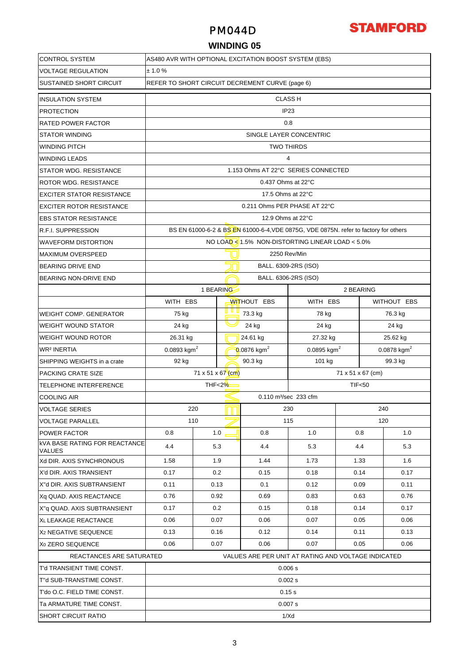## PM044D



### **WINDING 05**

| <b>CONTROL SYSTEM</b>                                 | AS480 AVR WITH OPTIONAL EXCITATION BOOST SYSTEM (EBS) |                         |                         |                    |                                                                                      |           |               |             |  |  |
|-------------------------------------------------------|-------------------------------------------------------|-------------------------|-------------------------|--------------------|--------------------------------------------------------------------------------------|-----------|---------------|-------------|--|--|
| <b>VOLTAGE REGULATION</b>                             | ± 1.0%                                                |                         |                         |                    |                                                                                      |           |               |             |  |  |
| <b>SUSTAINED SHORT CIRCUIT</b>                        | REFER TO SHORT CIRCUIT DECREMENT CURVE (page 6)       |                         |                         |                    |                                                                                      |           |               |             |  |  |
| <b>INSULATION SYSTEM</b>                              |                                                       |                         |                         |                    | <b>CLASS H</b>                                                                       |           |               |             |  |  |
| <b>PROTECTION</b>                                     | IP <sub>23</sub>                                      |                         |                         |                    |                                                                                      |           |               |             |  |  |
| <b>RATED POWER FACTOR</b>                             | 0.8                                                   |                         |                         |                    |                                                                                      |           |               |             |  |  |
| <b>STATOR WINDING</b>                                 |                                                       | SINGLE LAYER CONCENTRIC |                         |                    |                                                                                      |           |               |             |  |  |
| <b>WINDING PITCH</b>                                  |                                                       | <b>TWO THIRDS</b>       |                         |                    |                                                                                      |           |               |             |  |  |
| <b>WINDING LEADS</b>                                  |                                                       | $\overline{4}$          |                         |                    |                                                                                      |           |               |             |  |  |
| <b>STATOR WDG. RESISTANCE</b>                         |                                                       |                         |                         |                    | 1.153 Ohms AT 22°C SERIES CONNECTED                                                  |           |               |             |  |  |
| ROTOR WDG. RESISTANCE                                 |                                                       |                         |                         |                    | 0.437 Ohms at 22°C                                                                   |           |               |             |  |  |
| <b>EXCITER STATOR RESISTANCE</b>                      |                                                       |                         |                         |                    | 17.5 Ohms at 22°C                                                                    |           |               |             |  |  |
| <b>EXCITER ROTOR RESISTANCE</b>                       |                                                       |                         |                         |                    | 0.211 Ohms PER PHASE AT 22°C                                                         |           |               |             |  |  |
| <b>EBS STATOR RESISTANCE</b>                          |                                                       |                         |                         |                    | 12.9 Ohms at 22°C                                                                    |           |               |             |  |  |
| <b>R.F.I. SUPPRESSION</b>                             |                                                       |                         |                         |                    | BS EN 61000-6-2 & BS EN 61000-6-4, VDE 0875G, VDE 0875N. refer to factory for others |           |               |             |  |  |
| <b>WAVEFORM DISTORTION</b>                            |                                                       |                         |                         |                    | NO LOAD <1.5% NON-DISTORTING LINEAR LOAD <5.0%                                       |           |               |             |  |  |
| <b>MAXIMUM OVERSPEED</b>                              |                                                       |                         |                         |                    | 2250 Rev/Min                                                                         |           |               |             |  |  |
| <b>BEARING DRIVE END</b>                              |                                                       |                         |                         |                    | BALL. 6309-2RS (ISO)                                                                 |           |               |             |  |  |
| BEARING NON-DRIVE END                                 |                                                       |                         |                         |                    | BALL. 6306-2RS (ISO)                                                                 |           |               |             |  |  |
|                                                       |                                                       |                         | 1 BEARING               |                    |                                                                                      | 2 BEARING |               |             |  |  |
|                                                       | WITH EBS                                              |                         |                         | <b>WITHOUT EBS</b> | WITH EBS                                                                             |           |               | WITHOUT EBS |  |  |
| <b>WEIGHT COMP. GENERATOR</b>                         | 75 kg                                                 |                         |                         | 73.3 kg            | 78 kg                                                                                |           |               | 76.3 kg     |  |  |
| <b>WEIGHT WOUND STATOR</b>                            | 24 kg                                                 |                         | 24 kg                   |                    | 24 kg                                                                                |           | 24 kg         |             |  |  |
| <b>WEIGHT WOUND ROTOR</b>                             | 26.31 kg                                              |                         | 24.61 kg                |                    | 27.32 kg                                                                             |           | 25.62 kg      |             |  |  |
| <b>WR<sup>2</sup> INERTIA</b>                         | 0.0893 $kgm2$                                         |                         | 0.0876 kgm <sup>2</sup> |                    | 0.0895 kgm <sup>2</sup>                                                              |           | 0.0878 $kgm2$ |             |  |  |
| SHIPPING WEIGHTS in a crate                           | 92 kg                                                 |                         |                         | 90.3 kg            | 101 kg                                                                               |           |               | 99.3 kg     |  |  |
| PACKING CRATE SIZE                                    | 71 x 51 x 67 $(m)$<br>71 x 51 x 67 (cm)               |                         |                         |                    |                                                                                      |           |               |             |  |  |
| TELEPHONE INTERFERENCE                                | THF<2%<br><b>TIF&lt;50</b>                            |                         |                         |                    |                                                                                      |           |               |             |  |  |
| <b>COOLING AIR</b>                                    |                                                       |                         |                         |                    | 0.110 m <sup>3</sup> /sec 233 cfm                                                    |           |               |             |  |  |
| <b>VOLTAGE SERIES</b>                                 |                                                       | 220                     |                         | 230<br>240         |                                                                                      |           |               |             |  |  |
| <b>VOLTAGE PARALLEL</b>                               |                                                       | 110                     |                         |                    | 115                                                                                  |           | 120           |             |  |  |
| <b>POWER FACTOR</b>                                   | 0.8                                                   |                         | 1.0                     | 0.8                | 1.0                                                                                  | 0.8       |               | 1.0         |  |  |
| <b>kVA BASE RATING FOR REACTANCE</b><br><b>VALUES</b> | 4.4                                                   |                         | 5.3                     | 4.4                | 5.3                                                                                  | 4.4       |               | 5.3         |  |  |
| Xd DIR. AXIS SYNCHRONOUS                              | 1.58                                                  |                         | 1.9                     | 1.44               | 1.73                                                                                 | 1.33      |               | 1.6         |  |  |
| X'd DIR. AXIS TRANSIENT                               | 0.17                                                  |                         | 0.2                     | 0.15               | 0.18                                                                                 | 0.14      |               | 0.17        |  |  |
| X"d DIR. AXIS SUBTRANSIENT                            | 0.11                                                  |                         | 0.13                    | 0.1                | 0.12                                                                                 | 0.09      |               | 0.11        |  |  |
| Xq QUAD. AXIS REACTANCE                               | 0.76                                                  |                         | 0.92                    | 0.69               | 0.83                                                                                 | 0.63      |               | 0.76        |  |  |
| X"q QUAD. AXIS SUBTRANSIENT                           | 0.17                                                  |                         | 0.2                     | 0.15               | 0.18                                                                                 | 0.14      |               | 0.17        |  |  |
| XL LEAKAGE REACTANCE                                  | 0.06                                                  |                         | 0.07                    | 0.06               | 0.07                                                                                 | 0.05      |               | 0.06        |  |  |
| X <sub>2</sub> NEGATIVE SEQUENCE                      | 0.13                                                  | 0.16                    |                         | 0.12               | 0.14                                                                                 | 0.11      |               | 0.13        |  |  |
| X <sub>0</sub> ZERO SEQUENCE                          | 0.06<br>0.07                                          |                         |                         | 0.06               | 0.07                                                                                 | 0.05      |               | 0.06        |  |  |
| REACTANCES ARE SATURATED                              |                                                       |                         |                         |                    | VALUES ARE PER UNIT AT RATING AND VOLTAGE INDICATED                                  |           |               |             |  |  |
| T'd TRANSIENT TIME CONST.                             | 0.006 s                                               |                         |                         |                    |                                                                                      |           |               |             |  |  |
| T"d SUB-TRANSTIME CONST.                              | 0.002 s                                               |                         |                         |                    |                                                                                      |           |               |             |  |  |
| T'do O.C. FIELD TIME CONST.                           | 0.15s                                                 |                         |                         |                    |                                                                                      |           |               |             |  |  |
| Ta ARMATURE TIME CONST.                               | 0.007 s                                               |                         |                         |                    |                                                                                      |           |               |             |  |  |
| <b>SHORT CIRCUIT RATIO</b>                            | 1/Xd                                                  |                         |                         |                    |                                                                                      |           |               |             |  |  |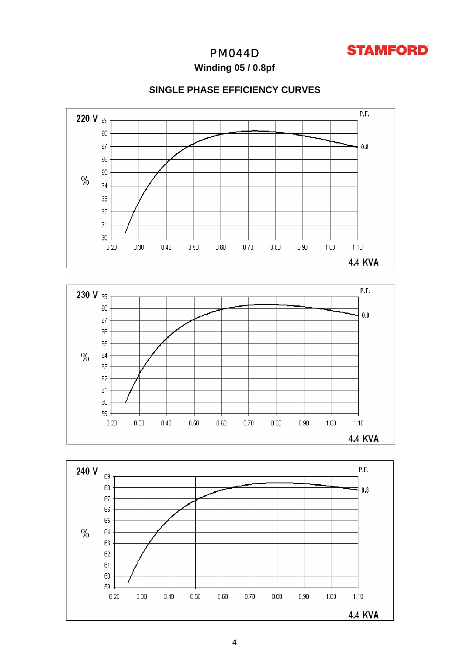

## PM044D

**Winding 05 / 0.8pf**

## **SINGLE PHASE EFFICIENCY CURVES**





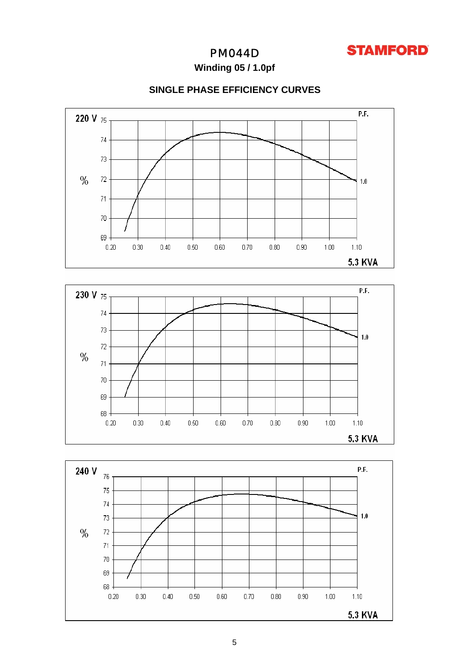

## PM044D

**Winding 05 / 1.0pf**

## **SINGLE PHASE EFFICIENCY CURVES**





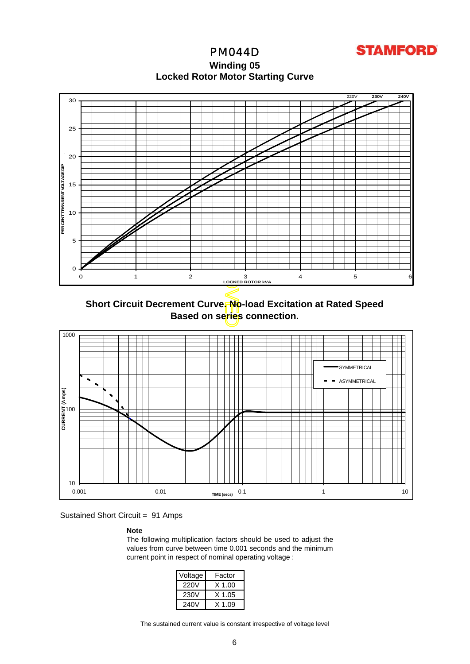PM044D **Winding 05 Locked Rotor Motor Startin g Curve**

**STAMFORD** 



**Short Circuit Decrement Curve. No-load Excitation at Rated Speed Based on series connection.**



Sustained Short Circuit = 91 Amps

**Note** 

The following multiplication factors should be used to adjust the values from curve between time 0.001 seconds and the minimum current point in respect of nominal operating voltage :

| Voltage | Factor |
|---------|--------|
| 220V    | X 1.00 |
| 230V    | X 1.05 |
| 240V    | X 1 09 |

The sustained current value is constant irrespective of voltage level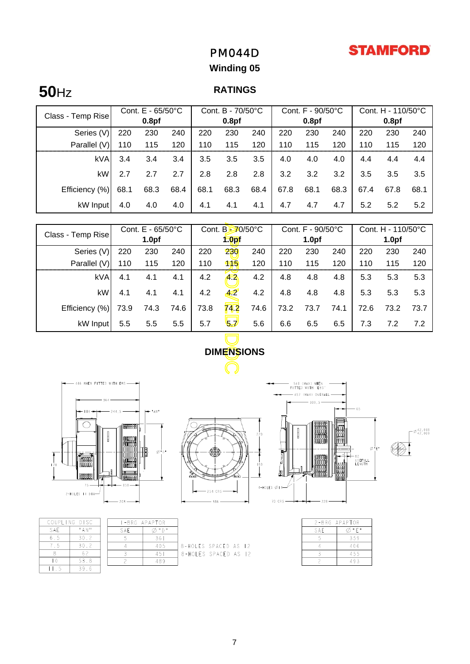## **STAMFORD**

## PM044D

## **Winding 05**

# **50**Hz

## **RATINGS**

|                   | Cont. $E - 65/50^{\circ}C$ |      | Cont. B - 70/50°C |                   |      | Cont. F - 90/50°C |                   |      | Cont. H - 110/50°C |                   |      |      |
|-------------------|----------------------------|------|-------------------|-------------------|------|-------------------|-------------------|------|--------------------|-------------------|------|------|
| Class - Temp Rise | 0.8 <sub>pf</sub>          |      |                   | 0.8 <sub>pf</sub> |      |                   | 0.8 <sub>pf</sub> |      |                    | 0.8 <sub>pf</sub> |      |      |
| Series (V)        | 220                        | 230  | 240               | 220               | 230  | 240               | 220               | 230  | 240                | 220               | 230  | 240  |
| Parallel (V)      | 110                        | 115  | 120               | 110               | 115  | 120               | 110               | 115  | 120                | 110               | 115  | 120  |
| <b>kVA</b>        | 3.4                        | 3.4  | 3.4               | 3.5               | 3.5  | 3.5               | 4.0               | 4.0  | 4.0                | 4.4               | 4.4  | 4.4  |
| kW                | 2.7                        | 2.7  | 2.7               | 2.8               | 2.8  | 2.8               | 3.2               | 3.2  | 3.2                | 3.5               | 3.5  | 3.5  |
| Efficiency (%)    | 68.1                       | 68.3 | 68.4              | 68.1              | 68.3 | 68.4              | 67.8              | 68.1 | 68.3               | 67.4              | 67.8 | 68.1 |
| kW Input          | 4.0                        | 4.0  | 4.0               | 4.1               | 4.1  | 4.1               | 4.7               | 4.7  | 4.7                | 5.2               | 5.2  | 5.2  |

| Class - Temp Rise                                               | Cont. E - 65/50°C            |       | Cont. B-70/50°C |                   | Cont. F - 90/50°C |                   |      | Cont. H - 110/50°C |                   |       |      |                  |
|-----------------------------------------------------------------|------------------------------|-------|-----------------|-------------------|-------------------|-------------------|------|--------------------|-------------------|-------|------|------------------|
|                                                                 | 1.0 <sub>pf</sub>            |       |                 | 1.0 <sub>pf</sub> |                   | 1.0 <sub>pf</sub> |      |                    | 1.0 <sub>pf</sub> |       |      |                  |
| Series (V)                                                      | 220                          | 230   | 240             | 220               | 230               | 240               | 220  | 230                | 240               | 220   | 230  | 240              |
| Parallel (V)                                                    | 110                          | 115   | 120             | 110               | 115               | 120               | 110  | 115                | 120               | 110   | 115  | 120              |
| kVA                                                             | 4.1                          | 4.1   | 4.1             | 4.2               | 4.2               | 4.2               | 4.8  | 4.8                | 4.8               | 5.3   | 5.3  | 5.3              |
| kW                                                              | 4.1                          | 4.1   | 4.1             | 4.2               | 4.2               | 4.2               | 4.8  | 4.8                | 4.8               | 5.3   | 5.3  | 5.3              |
| Efficiency (%)                                                  | 73.9                         | 74.3  | 74.6            | 73.8              | 742               | 74.6              | 73.2 | 73.7               | 74.1              | 72.6  | 73.2 | 73.7             |
| kW Input                                                        | 5.5                          | 5.5   | 5.5             | 5.7               | لہا               | 5.6               | 6.6  | 6.5                | 6.5               | 7.3   | 7.2  | 7.2              |
|                                                                 |                              |       |                 |                   |                   |                   |      |                    |                   |       |      |                  |
| <b>DIMENSIONS</b>                                               |                              |       |                 |                   |                   |                   |      |                    |                   |       |      |                  |
|                                                                 |                              |       |                 |                   |                   |                   |      |                    |                   |       |      |                  |
| 446 WHEN FITTED WITH EBS-<br>541 (MAX) WHEN<br>FITTED WITH 'EBS |                              |       |                 |                   |                   |                   |      |                    |                   |       |      |                  |
|                                                                 | — 457 (MAX) OVERALL<br>339,5 |       |                 |                   |                   |                   |      |                    |                   |       |      |                  |
|                                                                 |                              | # AN# |                 |                   |                   |                   |      |                    |                   | $-65$ |      |                  |
|                                                                 | 福田町<br>I noccoon I           |       |                 |                   |                   | 220               |      |                    |                   |       |      | 42,018<br>42,009 |



APAPTOR  $\overline{\emptyset}$  "  $D$  "  $361$ 405  $45\mathrm{I}$ 489

|       | COUPLING DISC             |     |  |  |
|-------|---------------------------|-----|--|--|
| S A E | $^{\rm H}$ A N $^{\rm H}$ | SAE |  |  |
| 65    | 30.2                      |     |  |  |
|       | 30.2                      |     |  |  |
|       |                           |     |  |  |
|       | 53.8                      |     |  |  |
|       | 396                       |     |  |  |



| 8-HOLES SPACED AS 12<br>  8-HOLES SPACED AS 12 |  |  |
|------------------------------------------------|--|--|
|                                                |  |  |





|     | 2-BRG APAPTOR |
|-----|---------------|
| SAE | " F "         |
|     | 359           |
|     | 406           |
|     | 455           |
|     | 493           |